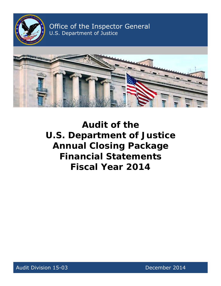

Office of the Inspector General U.S. Department of Justice



**Audit of the U.S. Department of Justice Annual Closing Package Financial Statements Fiscal Year 2014** 

Audit Division 15-03 and the control of the December 2014